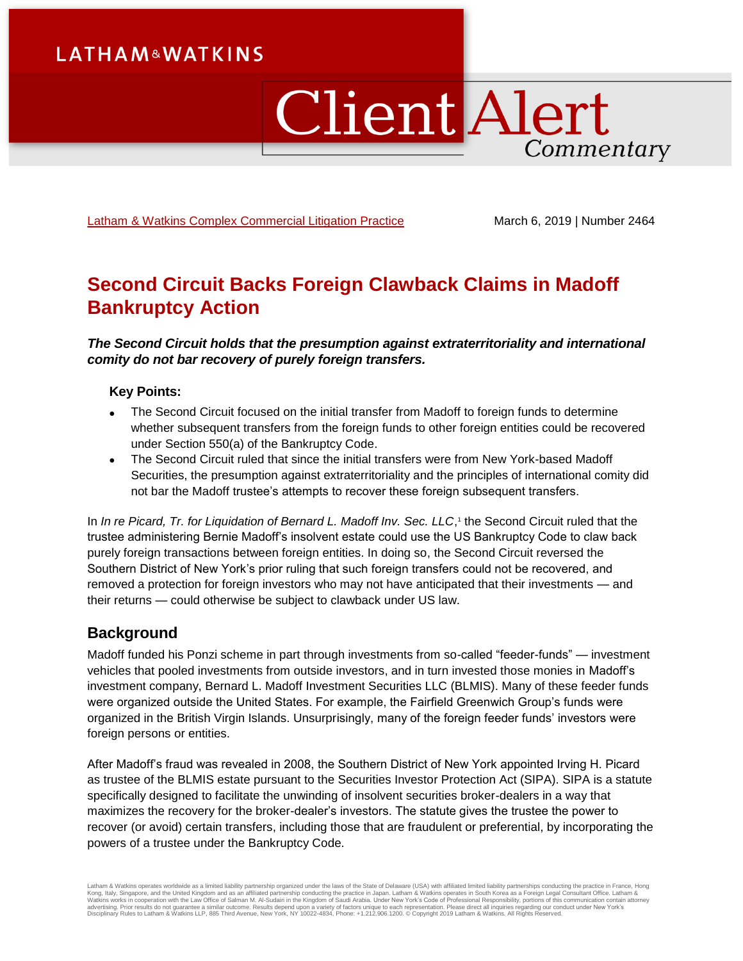# **LATHAM&WATKINS**

# ClientAlert Commentary

[Latham & Watkins Complex Commercial Litigation Practice](https://www.lw.com/practices/ComplexCommercialLitigation) March 6, 2019 | Number 2464

# **Second Circuit Backs Foreign Clawback Claims in Madoff Bankruptcy Action**

*The Second Circuit holds that the presumption against extraterritoriality and international comity do not bar recovery of purely foreign transfers.*

# **Key Points:**

- The Second Circuit focused on the initial transfer from Madoff to foreign funds to determine whether subsequent transfers from the foreign funds to other foreign entities could be recovered under Section 550(a) of the Bankruptcy Code.
- The Second Circuit ruled that since the initial transfers were from New York-based Madoff Securities, the presumption against extraterritoriality and the principles of international comity did not bar the Madoff trustee's attempts to recover these foreign subsequent transfers.

In *In re Picard, Tr. for Liquidation of Bernard L. Madoff Inv. Sec. LLC*,<sup>1</sup> the Second Circuit ruled that the trustee administering Bernie Madoff's insolvent estate could use the US Bankruptcy Code to claw back purely foreign transactions between foreign entities. In doing so, the Second Circuit reversed the Southern District of New York's prior ruling that such foreign transfers could not be recovered, and removed a protection for foreign investors who may not have anticipated that their investments — and their returns — could otherwise be subject to clawback under US law.

# **Background**

Madoff funded his Ponzi scheme in part through investments from so-called "feeder-funds" — investment vehicles that pooled investments from outside investors, and in turn invested those monies in Madoff's investment company, Bernard L. Madoff Investment Securities LLC (BLMIS). Many of these feeder funds were organized outside the United States. For example, the Fairfield Greenwich Group's funds were organized in the British Virgin Islands. Unsurprisingly, many of the foreign feeder funds' investors were foreign persons or entities.

After Madoff's fraud was revealed in 2008, the Southern District of New York appointed Irving H. Picard as trustee of the BLMIS estate pursuant to the Securities Investor Protection Act (SIPA). SIPA is a statute specifically designed to facilitate the unwinding of insolvent securities broker-dealers in a way that maximizes the recovery for the broker-dealer's investors. The statute gives the trustee the power to recover (or avoid) certain transfers, including those that are fraudulent or preferential, by incorporating the powers of a trustee under the Bankruptcy Code.

Latham & Watkins operates worldwide as a limited liability partnership organized under the laws of the State of Delaware (USA) with affiliated limited liability partnerships conducting the practice in France, Hong Kong, Italy, Singapore, and the United Kingdom and as an affiliated partnership conducting the practice in Japan. Latham & Watkins operates in South Korea as a Foreign Legal Consultant Office. Latham &<br>Watkins works in coo Disciplinary Rules to Latham & Watkins LLP, 885 Third Avenue, New York, NY 10022-4834, Phone: +1.212.906.1200. © Copyright 2019 Latham & Watkins. All Rights Reserved.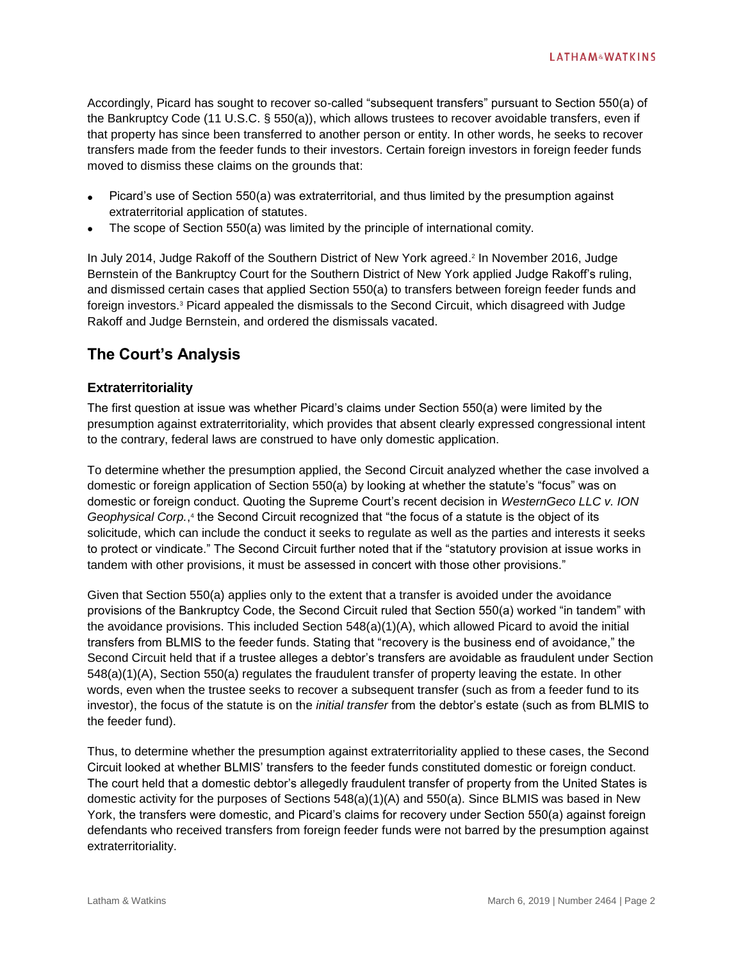Accordingly, Picard has sought to recover so-called "subsequent transfers" pursuant to Section 550(a) of the Bankruptcy Code (11 U.S.C. § 550(a)), which allows trustees to recover avoidable transfers, even if that property has since been transferred to another person or entity. In other words, he seeks to recover transfers made from the feeder funds to their investors. Certain foreign investors in foreign feeder funds moved to dismiss these claims on the grounds that:

- Picard's use of Section 550(a) was extraterritorial, and thus limited by the presumption against extraterritorial application of statutes.
- The scope of Section 550(a) was limited by the principle of international comity.

In July 2014, Judge Rakoff of the Southern District of New York agreed. 2 In November 2016, Judge Bernstein of the Bankruptcy Court for the Southern District of New York applied Judge Rakoff's ruling, and dismissed certain cases that applied Section 550(a) to transfers between foreign feeder funds and foreign investors.<sup>3</sup> Picard appealed the dismissals to the Second Circuit, which disagreed with Judge Rakoff and Judge Bernstein, and ordered the dismissals vacated.

# **The Court's Analysis**

# **Extraterritoriality**

The first question at issue was whether Picard's claims under Section 550(a) were limited by the presumption against extraterritoriality, which provides that absent clearly expressed congressional intent to the contrary, federal laws are construed to have only domestic application.

To determine whether the presumption applied, the Second Circuit analyzed whether the case involved a domestic or foreign application of Section 550(a) by looking at whether the statute's "focus" was on domestic or foreign conduct. Quoting the Supreme Court's recent decision in *WesternGeco LLC v. ION*  Geophysical Corp.,<sup>4</sup> the Second Circuit recognized that "the focus of a statute is the object of its solicitude, which can include the conduct it seeks to regulate as well as the parties and interests it seeks to protect or vindicate." The Second Circuit further noted that if the "statutory provision at issue works in tandem with other provisions, it must be assessed in concert with those other provisions."

Given that Section 550(a) applies only to the extent that a transfer is avoided under the avoidance provisions of the Bankruptcy Code, the Second Circuit ruled that Section 550(a) worked "in tandem" with the avoidance provisions. This included Section 548(a)(1)(A), which allowed Picard to avoid the initial transfers from BLMIS to the feeder funds. Stating that "recovery is the business end of avoidance," the Second Circuit held that if a trustee alleges a debtor's transfers are avoidable as fraudulent under Section 548(a)(1)(A), Section 550(a) regulates the fraudulent transfer of property leaving the estate. In other words, even when the trustee seeks to recover a subsequent transfer (such as from a feeder fund to its investor), the focus of the statute is on the *initial transfer* from the debtor's estate (such as from BLMIS to the feeder fund).

Thus, to determine whether the presumption against extraterritoriality applied to these cases, the Second Circuit looked at whether BLMIS' transfers to the feeder funds constituted domestic or foreign conduct. The court held that a domestic debtor's allegedly fraudulent transfer of property from the United States is domestic activity for the purposes of Sections 548(a)(1)(A) and 550(a). Since BLMIS was based in New York, the transfers were domestic, and Picard's claims for recovery under Section 550(a) against foreign defendants who received transfers from foreign feeder funds were not barred by the presumption against extraterritoriality.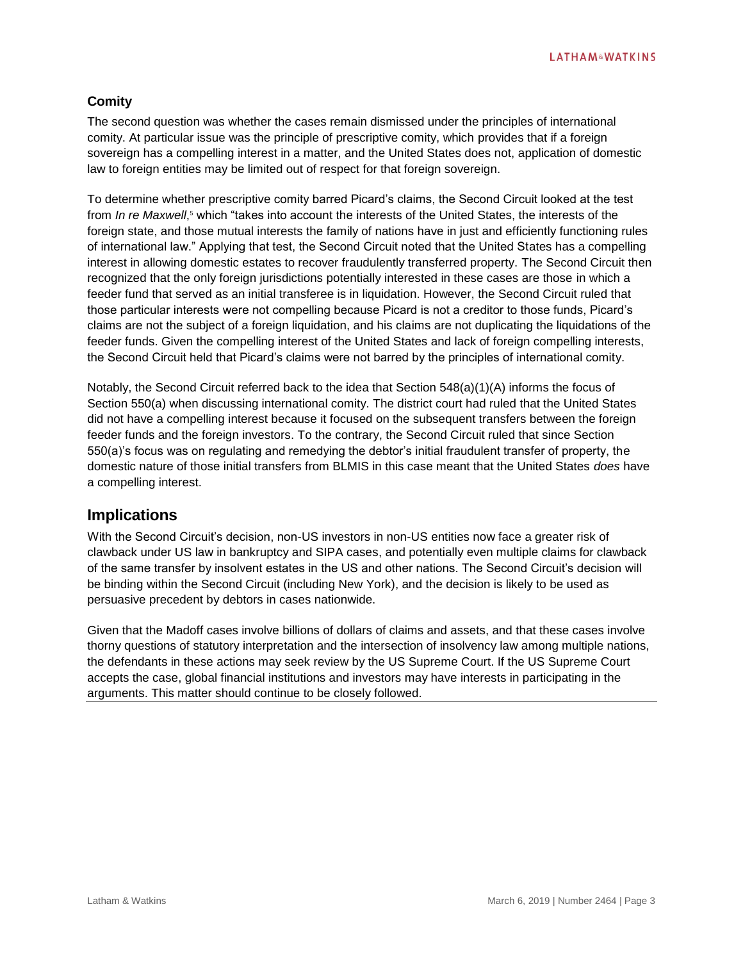# **Comity**

The second question was whether the cases remain dismissed under the principles of international comity. At particular issue was the principle of prescriptive comity, which provides that if a foreign sovereign has a compelling interest in a matter, and the United States does not, application of domestic law to foreign entities may be limited out of respect for that foreign sovereign.

To determine whether prescriptive comity barred Picard's claims, the Second Circuit looked at the test from *In re Maxwell*, <sup>5</sup> which "takes into account the interests of the United States, the interests of the foreign state, and those mutual interests the family of nations have in just and efficiently functioning rules of international law." Applying that test, the Second Circuit noted that the United States has a compelling interest in allowing domestic estates to recover fraudulently transferred property. The Second Circuit then recognized that the only foreign jurisdictions potentially interested in these cases are those in which a feeder fund that served as an initial transferee is in liquidation. However, the Second Circuit ruled that those particular interests were not compelling because Picard is not a creditor to those funds, Picard's claims are not the subject of a foreign liquidation, and his claims are not duplicating the liquidations of the feeder funds. Given the compelling interest of the United States and lack of foreign compelling interests, the Second Circuit held that Picard's claims were not barred by the principles of international comity.

Notably, the Second Circuit referred back to the idea that Section 548(a)(1)(A) informs the focus of Section 550(a) when discussing international comity. The district court had ruled that the United States did not have a compelling interest because it focused on the subsequent transfers between the foreign feeder funds and the foreign investors. To the contrary, the Second Circuit ruled that since Section 550(a)'s focus was on regulating and remedying the debtor's initial fraudulent transfer of property, the domestic nature of those initial transfers from BLMIS in this case meant that the United States *does* have a compelling interest.

# **Implications**

With the Second Circuit's decision, non-US investors in non-US entities now face a greater risk of clawback under US law in bankruptcy and SIPA cases, and potentially even multiple claims for clawback of the same transfer by insolvent estates in the US and other nations. The Second Circuit's decision will be binding within the Second Circuit (including New York), and the decision is likely to be used as persuasive precedent by debtors in cases nationwide.

Given that the Madoff cases involve billions of dollars of claims and assets, and that these cases involve thorny questions of statutory interpretation and the intersection of insolvency law among multiple nations, the defendants in these actions may seek review by the US Supreme Court. If the US Supreme Court accepts the case, global financial institutions and investors may have interests in participating in the arguments. This matter should continue to be closely followed.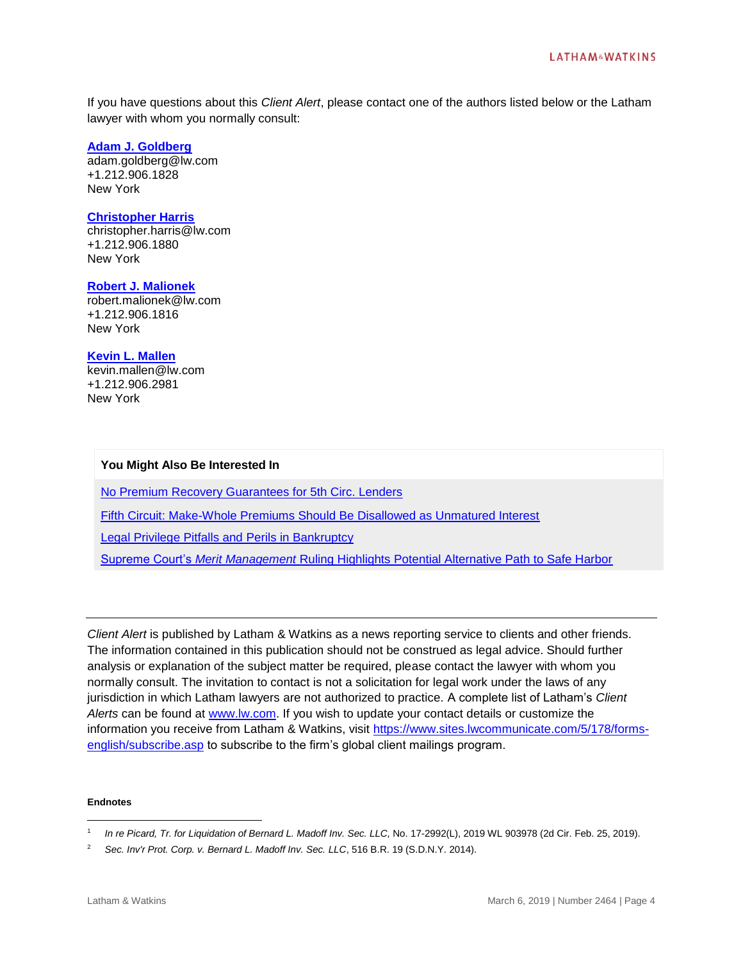If you have questions about this *Client Alert*, please contact one of the authors listed below or the Latham lawyer with whom you normally consult:

## **[Adam J. Goldberg](https://www.lw.com/people/adam-goldberg)**

adam.goldberg@lw.com +1.212.906.1828 New York

### **[Christopher Harris](https://www.lw.com/people/christopher-harris)**

christopher.harris@lw.com +1.212.906.1880 New York

## **[Robert J. Malionek](https://www.lw.com/people/robert-malionek)**

robert.malionek@lw.com +1.212.906.1816 New York

### **[Kevin L. Mallen](https://www.lw.com/people/kevin-mallen)**

kevin.mallen@lw.com +1.212.906.2981 New York

### **You Might Also Be Interested In**

[No Premium Recovery Guarantees for 5th Circ. Lenders](https://www.lw.com/thoughtLeadership/law360-latham-no-premium-recovery-guarantees-for-5th-circuit-lenders)

[Fifth Circuit: Make-Whole Premiums Should Be Disallowed as Unmatured Interest](https://www.lw.com/thoughtLeadership/lw-fifth-circuit-make-whole-premiums-should-be-disallowed-as-unmatured-interest)

[Legal Privilege Pitfalls and Perils in Bankruptcy](https://www.lw.com/thoughtLeadership/legal-privilege-pitfalls-and-perils-in-bankruptcy)

Supreme Court's *Merit Management* [Ruling Highlights Potential Alternative Path to Safe Harbor](https://www.lw.com/thoughtLeadership/lw-supreme-courts-merit-management-ruling-highlights-potential-alternative-path-to-safe-harbor)

*Client Alert* is published by Latham & Watkins as a news reporting service to clients and other friends. The information contained in this publication should not be construed as legal advice. Should further analysis or explanation of the subject matter be required, please contact the lawyer with whom you normally consult. The invitation to contact is not a solicitation for legal work under the laws of any jurisdiction in which Latham lawyers are not authorized to practice. A complete list of Latham's *Client Alerts* can be found at [www.lw.com.](http://www.lw.com/) If you wish to update your contact details or customize the information you receive from Latham & Watkins, visit [https://www.sites.lwcommunicate.com/5/178/forms](https://www.sites.lwcommunicate.com/5/178/forms-english/subscribe.asp)[english/subscribe.asp](https://www.sites.lwcommunicate.com/5/178/forms-english/subscribe.asp) to subscribe to the firm's global client mailings program.

#### **Endnotes**

 $\overline{a}$ 

<sup>1</sup> *In re Picard, Tr. for Liquidation of Bernard L. Madoff Inv. Sec. LLC,* No. 17-2992(L), 2019 WL 903978 (2d Cir. Feb. 25, 2019).

<sup>2</sup> *Sec. Inv'r Prot. Corp. v. Bernard L. Madoff Inv. Sec. LLC*, 516 B.R. 19 (S.D.N.Y. 2014).